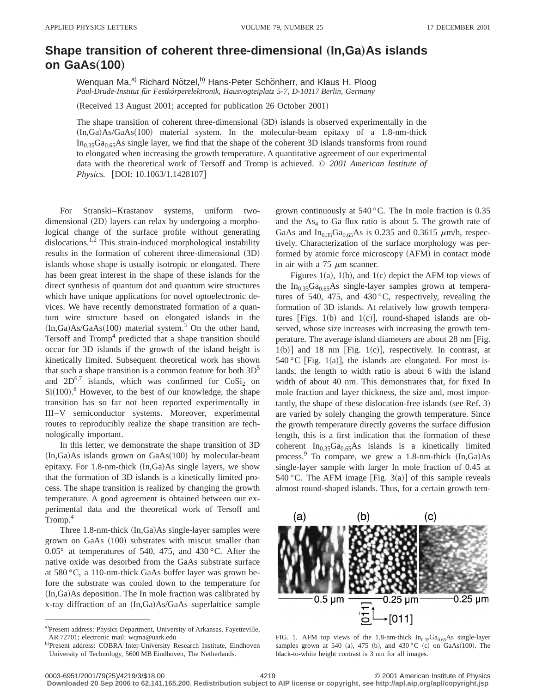## **Shape transition of coherent three-dimensional (In,Ga)As islands on GaAs**"**100**…

Wenquan Ma,<sup>a)</sup> Richard Nötzel,<sup>b)</sup> Hans-Peter Schönherr, and Klaus H. Ploog Paul-Drude-Institut für Festkörperelektronik, Hausvogteiplatz 5-7, D-10117 Berlin, Germany

(Received 13 August 2001; accepted for publication 26 October 2001)

The shape transition of coherent three-dimensional  $(3D)$  islands is observed experimentally in the  $(In,Ga)$ As/GaAs $(100)$  material system. In the molecular-beam epitaxy of a 1.8-nm-thick  $In<sub>0.35</sub>Ga<sub>0.65</sub>As single layer, we find that the shape of the coherent 3D islands transforms from round.$ to elongated when increasing the growth temperature. A quantitative agreement of our experimental data with the theoretical work of Tersoff and Tromp is achieved. © *2001 American Institute of Physics.* [DOI: 10.1063/1.1428107]

For Stranski–Krastanov systems, uniform twodimensional  $(2D)$  layers can relax by undergoing a morphological change of the surface profile without generating dislocations.<sup>1,2</sup> This strain-induced morphological instability results in the formation of coherent three-dimensional (3D) islands whose shape is usually isotropic or elongated. There has been great interest in the shape of these islands for the direct synthesis of quantum dot and quantum wire structures which have unique applications for novel optoelectronic devices. We have recently demonstrated formation of a quantum wire structure based on elongated islands in the  $(In,Ga)As/GaAs(100)$  material system.<sup>3</sup> On the other hand, Tersoff and Tromp<sup>4</sup> predicted that a shape transition should occur for 3D islands if the growth of the island height is kinetically limited. Subsequent theoretical work has shown that such a shape transition is a common feature for both  $3D<sup>5</sup>$ and  $2D^{6,7}$  islands, which was confirmed for  $CoSi<sub>2</sub>$  on  $Si(100).$ <sup>8</sup> However, to the best of our knowledge, the shape transition has so far not been reported experimentally in III–V semiconductor systems. Moreover, experimental routes to reproducibly realize the shape transition are technologically important.

In this letter, we demonstrate the shape transition of 3D  $(In,Ga)$ As islands grown on  $GaAs(100)$  by molecular-beam epitaxy. For  $1.8$ -nm-thick  $(In,Ga)$ As single layers, we show that the formation of 3D islands is a kinetically limited process. The shape transition is realized by changing the growth temperature. A good agreement is obtained between our experimental data and the theoretical work of Tersoff and Tromp.<sup>4</sup>

Three  $1.8$ -nm-thick  $(In,Ga)$ As single-layer samples were grown on GaAs (100) substrates with miscut smaller than 0.05° at temperatures of 540, 475, and 430 °C. After the native oxide was desorbed from the GaAs substrate surface at 580 °C, a 110-nm-thick GaAs buffer layer was grown before the substrate was cooled down to the temperature for  $(In,Ga)$ As deposition. The In mole fraction was calibrated by x-ray diffraction of an  $(In,Ga)As/GaAs$  superlattice sample grown continuously at 540 °C. The In mole fraction is 0.35 and the  $As<sub>4</sub>$  to Ga flux ratio is about 5. The growth rate of GaAs and In<sub>0.35</sub>Ga<sub>0.65</sub>As is 0.235 and 0.3615  $\mu$ m/h, respectively. Characterization of the surface morphology was performed by atomic force microscopy (AFM) in contact mode in air with a 75  $\mu$ m scanner.

Figures 1(a), 1(b), and 1(c) depict the AFM top views of the In<sub>0.35</sub>Ga<sub>0.65</sub>As single-layer samples grown at temperatures of 540, 475, and 430 °C, respectively, revealing the formation of 3D islands. At relatively low growth temperatures [Figs. 1(b) and 1(c)], round-shaped islands are observed, whose size increases with increasing the growth temperature. The average island diameters are about  $28 \text{ nm}$  [Fig.  $1(b)$ ] and 18 nm [Fig. 1(c)], respectively. In contrast, at 540 °C [Fig. 1(a)], the islands are elongated. For most islands, the length to width ratio is about 6 with the island width of about 40 nm. This demonstrates that, for fixed In mole fraction and layer thickness, the size and, most importantly, the shape of these dislocation-free islands (see Ref. 3) are varied by solely changing the growth temperature. Since the growth temperature directly governs the surface diffusion length, this is a first indication that the formation of these coherent  $In<sub>0.35</sub>Ga<sub>0.65</sub>As$  islands is a kinetically limited process.<sup>9</sup> To compare, we grew a 1.8-nm-thick  $(In,Ga)As$ single-layer sample with larger In mole fraction of 0.45 at 540 °C. The AFM image [Fig. 3(a)] of this sample reveals almost round-shaped islands. Thus, for a certain growth tem-



FIG. 1. AFM top views of the 1.8-nm-thick  $In<sub>0.35</sub>Ga<sub>0.65</sub>As single-layer$ samples grown at 540 (a), 475 (b), and 430 °C (c) on GaAs(100). The black-to-white height contrast is 3 nm for all images.

**Downloaded 20 Sep 2006 to 62.141.165.200. Redistribution subject to AIP license or copyright, see http://apl.aip.org/apl/copyright.jsp**

a)Present address: Physics Department, University of Arkansas, Fayetteville, AR 72701; electronic mail: wqma@uark.edu

b)Present address: COBRA Inter-University Research Institute, Eindhoven University of Technology, 5600 MB Eindhoven, The Netherlands.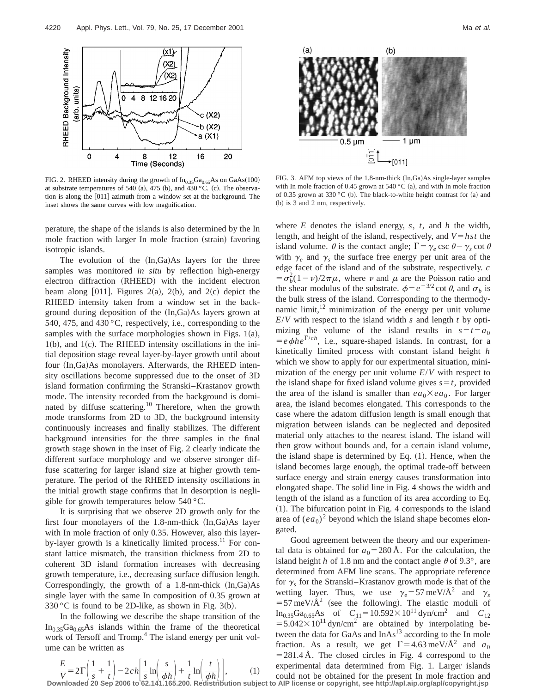

FIG. 2. RHEED intensity during the growth of  $In<sub>0.35</sub>Ga<sub>0.65</sub>As$  on GaAs(100) at substrate temperatures of 540 (a), 475 (b), and 430 °C. (c). The observation is along the  $[011]$  azimuth from a window set at the background. The inset shows the same curves with low magnification.

perature, the shape of the islands is also determined by the In mole fraction with larger In mole fraction (strain) favoring isotropic islands.

The evolution of the  $(In,Ga)As$  layers for the three samples was monitored *in situ* by reflection high-energy electron diffraction (RHEED) with the incident electron beam along [011]. Figures 2(a), 2(b), and 2(c) depict the RHEED intensity taken from a window set in the background during deposition of the  $(In,Ga)As$  layers grown at 540, 475, and 430 °C, respectively, i.e., corresponding to the samples with the surface morphologies shown in Figs.  $1(a)$ ,  $1(b)$ , and  $1(c)$ . The RHEED intensity oscillations in the initial deposition stage reveal layer-by-layer growth until about four (In,Ga)As monolayers. Afterwards, the RHEED intensity oscillations become suppressed due to the onset of 3D island formation confirming the Stranski–Krastanov growth mode. The intensity recorded from the background is dominated by diffuse scattering.<sup>10</sup> Therefore, when the growth mode transforms from 2D to 3D, the background intensity continuously increases and finally stabilizes. The different background intensities for the three samples in the final growth stage shown in the inset of Fig. 2 clearly indicate the different surface morphology and we observe stronger diffuse scattering for larger island size at higher growth temperature. The period of the RHEED intensity oscillations in the initial growth stage confirms that In desorption is negligible for growth temperatures below 540 °C.

It is surprising that we observe 2D growth only for the first four monolayers of the  $1.8$ -nm-thick  $(In,Ga)$ As layer with In mole fraction of only 0.35. However, also this layerby-layer growth is a kinetically limited process.<sup>11</sup> For constant lattice mismatch, the transition thickness from 2D to coherent 3D island formation increases with decreasing growth temperature, i.e., decreasing surface diffusion length. Correspondingly, the growth of a 1.8-nm-thick  $(In,Ga)As$ single layer with the same In composition of 0.35 grown at  $330\degree$ C is found to be 2D-like, as shown in Fig. 3(b).

In the following we describe the shape transition of the  $In<sub>0.35</sub>Ga<sub>0.65</sub>As$  islands within the frame of the theoretical work of Tersoff and Tromp.<sup>4</sup> The island energy per unit volume can be written as

 $\frac{E}{V} = 2\Gamma \left( \frac{1}{s} + \frac{1}{s} \right)$  $\left(\frac{1}{t}\right)$  - 2*ch*  $\left|\frac{1}{s}\right|$  $\frac{1}{s}\ln\left(\frac{s}{\phi h}\right) + \frac{1}{t}$ 



FIG. 3. AFM top views of the 1.8-nm-thick  $(In,Ga)As$  single-layer samples with In mole fraction of 0.45 grown at 540 °C (a), and with In mole fraction of 0.35 grown at 330 °C (b). The black-to-white height contrast for (a) and (b) is 3 and 2 nm, respectively.

where *E* denotes the island energy, *s*, *t*, and *h* the width, length, and height of the island, respectively, and  $V = hst$  the island volume.  $\theta$  is the contact angle;  $\Gamma = \gamma_e \csc \theta - \gamma_s \cot \theta$ with  $\gamma_e$  and  $\gamma_s$  the surface free energy per unit area of the edge facet of the island and of the substrate, respectively. *c*  $= \sigma_b^2 (1 - \nu)/2\pi\mu$ , where  $\nu$  and  $\mu$  are the Poisson ratio and the shear modulus of the substrate.  $\phi = e^{-3/2} \cot \theta$ , and  $\sigma_b$  is the bulk stress of the island. Corresponding to the thermodynamic limit, $12$  minimization of the energy per unit volume *E*/*V* with respect to the island width *s* and length *t* by optimizing the volume of the island results in  $s=t=a_0$  $= e \phi h e^{\Gamma/ch}$ , i.e., square-shaped islands. In contrast, for a kinetically limited process with constant island height *h* which we show to apply for our experimental situation, minimization of the energy per unit volume *E*/*V* with respect to the island shape for fixed island volume gives  $s = t$ , provided the area of the island is smaller than  $ea_0 \times ea_0$ . For larger area, the island becomes elongated. This corresponds to the case where the adatom diffusion length is small enough that migration between islands can be neglected and deposited material only attaches to the nearest island. The island will then grow without bounds and, for a certain island volume, the island shape is determined by Eq.  $(1)$ . Hence, when the island becomes large enough, the optimal trade-off between surface energy and strain energy causes transformation into elongated shape. The solid line in Fig. 4 shows the width and length of the island as a function of its area according to Eq.  $(1)$ . The bifurcation point in Fig. 4 corresponds to the island area of  $(ea_0)^2$  beyond which the island shape becomes elongated.

 $\left(\frac{t}{\phi h}\right)$ , (1) experimental data determined from Fig. 1. Larger islands could not be obtained for the present In mole fraction and Good agreement between the theory and our experimental data is obtained for  $a_0$ =280 Å. For the calculation, the island height *h* of 1.8 nm and the contact angle  $\theta$  of 9.3°, are determined from AFM line scans. The appropriate reference for  $\gamma_s$  for the Stranski–Krastanov growth mode is that of the wetting layer. Thus, we use  $\gamma_e = 57 \text{ meV/A}^2$  and  $\gamma_s$  $=$  57 meV/ $\AA$ <sup>2</sup> (see the following). The elastic moduli of In<sub>0.35</sub>Ga<sub>0.65</sub>As of  $C_{11} = 10.592 \times 10^{11}$  dyn/cm<sup>2</sup> and  $C_{12}$  $=$  5.042 $\times$ 10<sup>11</sup> dyn/cm<sup>2</sup> are obtained by interpolating between the data for GaAs and  $InAs<sup>13</sup>$  according to the In mole fraction. As a result, we get  $\Gamma = 4.63 \text{ meV/A}^2$  and  $a_0$  $=281.4 \text{ Å}$ . The closed circles in Fig. 4 correspond to the

 $V = \begin{bmatrix} s & t \end{bmatrix}$   $\begin{bmatrix} 2 & 0 \ 0 & 0 \end{bmatrix}$   $\begin{bmatrix} 4 & 0 \ 0 & 1 \end{bmatrix}$   $\begin{bmatrix} t & 0 \ 0 & 1 \end{bmatrix}$   $\begin{bmatrix} 1 & 0 \ 0 & 1 \end{bmatrix}$   $\begin{bmatrix} 1 & 0 \ 0 & 1 \end{bmatrix}$  could not be obtained for the present In mole fraction and Downloaded 20